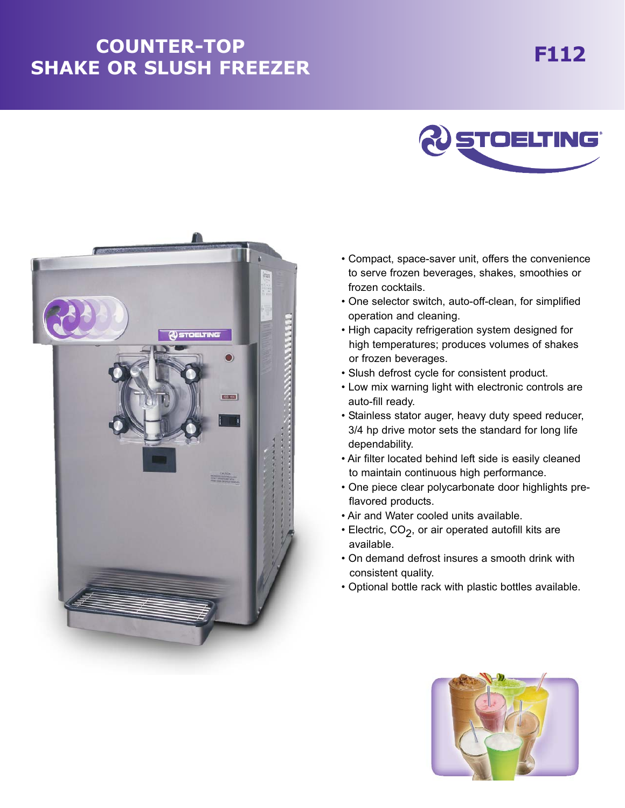## **F112 COUNTER-TOP SHAKE OR SLUSH FREEZER**





- Compact, space-saver unit, offers the convenience to serve frozen beverages, shakes, smoothies or frozen cocktails.
- One selector switch, auto-off-clean, for simplified operation and cleaning.
- High capacity refrigeration system designed for high temperatures; produces volumes of shakes or frozen beverages.
- Slush defrost cycle for consistent product.
- Low mix warning light with electronic controls are auto-fill ready.
- Stainless stator auger, heavy duty speed reducer, 3/4 hp drive motor sets the standard for long life dependability.
- Air filter located behind left side is easily cleaned to maintain continuous high performance.
- One piece clear polycarbonate door highlights preflavored products.
- Air and Water cooled units available.
- $\cdot$  Electric, CO<sub>2</sub>, or air operated autofill kits are available.
- On demand defrost insures a smooth drink with consistent quality.
- Optional bottle rack with plastic bottles available.